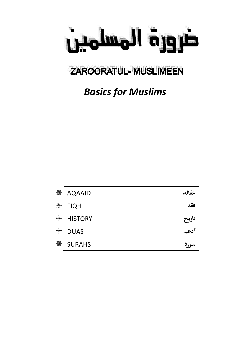

# **ZAROORATUL- MUSLIMEEN**

# *Basics for Muslims*

| ₩ | <b>AQAAID</b>  | عقائد |
|---|----------------|-------|
| 器 | <b>FIQH</b>    | فقه   |
| 器 | <b>HISTORY</b> | تاريخ |
| 器 | <b>DUAS</b>    | أدعيه |
| 器 | <b>SURAHS</b>  |       |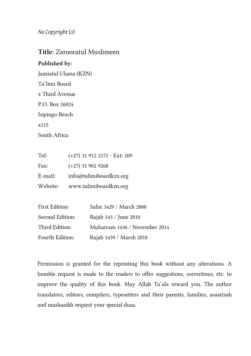*No Copyright (ɔ)* 

#### **Title:** Zarooratul Muslimeen

**Published by:** 

Jamiatul Ulama (KZN)

Ta'limi Board

4 Third Avenue

P.O. Box 26024

Isipingo Beach

4115

South Africa

| Tel:     | (+27) 31 912 2172 - Ext: 209 |
|----------|------------------------------|
| Fax:     | $(+27)$ 31 902 9268          |
| E-mail:  | info@talimiboardkzn.org      |
| Website: | www.talimiboardkzn.org       |

| First Edition:  | Safar 1429 / March 2008       |
|-----------------|-------------------------------|
| Second Edition: | Rajab 143 / June 2010         |
| Third Edition:  | Muharram 1436 / November 2014 |
| Fourth Edition: | Rajab 1439 / March 2018       |

Permission is granted for the reprinting this book without any alterations. A humble request is made to the readers to offer suggestions, corrections, etc. to improve the quality of this book. May Allah Ta'ala reward you. The author translators, editors, compilers, typesetters and their parents, families, asaatizah and mashaaikh request your special duas.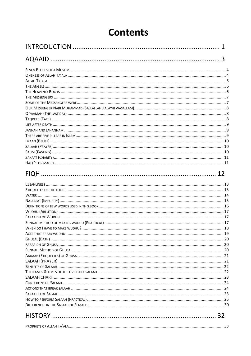# **Contents**

#### $\overline{a}$  $\cdots$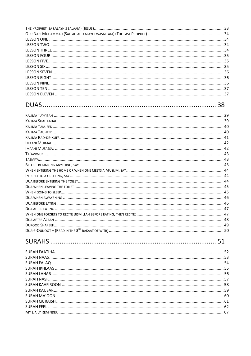#### 

|  |  |  |  |  |  |  |  |  | ~ |
|--|--|--|--|--|--|--|--|--|---|
|  |  |  |  |  |  |  |  |  |   |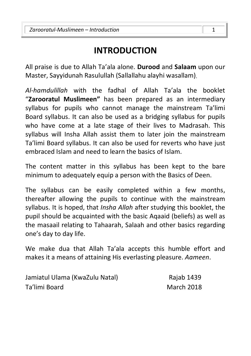# **INTRODUCTION**

All praise is due to Allah Ta'ala alone. **Durood** and **Salaam** upon our Master, Sayyidunah Rasulullah (Sallallahu alayhi wasallam).

*Al-hamdulillah* with the fadhal of Allah Ta'ala the booklet "**Zarooratul Muslimeen"** has been prepared as an intermediary syllabus for pupils who cannot manage the mainstream Ta'limi Board syllabus. It can also be used as a bridging syllabus for pupils who have come at a late stage of their lives to Madrasah. This syllabus will Insha Allah assist them to later join the mainstream Ta'limi Board syllabus. It can also be used for reverts who have just embraced Islam and need to learn the basics of Islam.

The content matter in this syllabus has been kept to the bare minimum to adequately equip a person with the Basics of Deen.

The syllabus can be easily completed within a few months, thereafter allowing the pupils to continue with the mainstream syllabus. It is hoped, that *Insha Allah* after studying this booklet, the pupil should be acquainted with the basic Aqaaid (beliefs) as well as the masaail relating to Tahaarah, Salaah and other basics regarding one's day to day life.

We make dua that Allah Ta'ala accepts this humble effort and makes it a means of attaining His everlasting pleasure. *Aameen*.

| Jamiatul Ulama (KwaZulu Natal) | Rajab 1439 |
|--------------------------------|------------|
| Ta'limi Board                  | March 2018 |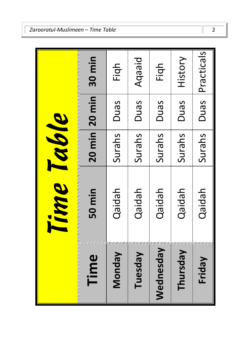|                                                                                                                                                                                                                                        | Time   | Table  |               |                 |
|----------------------------------------------------------------------------------------------------------------------------------------------------------------------------------------------------------------------------------------|--------|--------|---------------|-----------------|
| Time<br>The second contract of the second contract of the second contract of the second contract of the second contract of the second contract of the second contract of the second contract of the second contract of the second cont | 50 min |        | 20 min 20 min | 30 min          |
| <b>Monday</b>                                                                                                                                                                                                                          | Qaidah | Surahs | Duas          | Figh            |
| Tuesday                                                                                                                                                                                                                                | Qaidah | Surahs | Duas          | Aqaaid          |
| Wednesday                                                                                                                                                                                                                              | Qaidah | Surahs | Duas          | Figh            |
| Thursday                                                                                                                                                                                                                               | Qaidah | Surahs | Duas          | History         |
| Friday                                                                                                                                                                                                                                 | Qaidah | Surahs |               | Duas Practicals |

 $\overline{2}$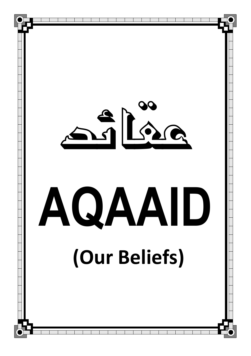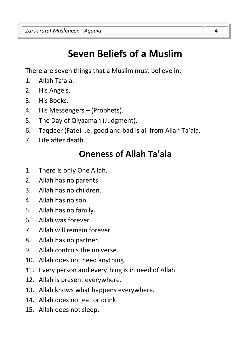# **Seven Beliefs of a Muslim**

There are seven things that a Muslim must believe in:

- 1. Allah Ta'ala.
- 2. His Angels.
- 3. His Books.
- 4. His Messengers (Prophets).
- 5. The Day of Qiyaamah (Judgment).
- 6. Taqdeer (Fate) i.e. good and bad is all from Allah Ta'ala.
- 7. Life after death.

# **Oneness of Allah Ta'ala**

- 1. There is only One Allah.
- 2. Allah has no parents.
- 3. Allah has no children.
- 4. Allah has no son.
- 5. Allah has no family.
- 6. Allah was forever.
- 7. Allah will remain forever.
- 8. Allah has no partner.
- 9. Allah controls the universe.
- 10. Allah does not need anything.
- 11. Every person and everything is in need of Allah.
- 12. Allah is present everywhere.
- 13. Allah knows what happens everywhere.
- 14. Allah does not eat or drink.
- 15. Allah does not sleep.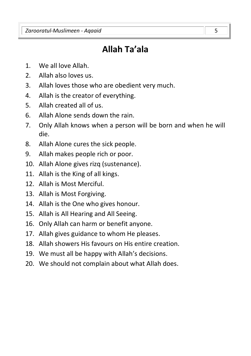# **Allah Ta'ala**

- 1. We all love Allah.
- 2. Allah also loves us.
- 3. Allah loves those who are obedient very much.
- 4. Allah is the creator of everything.
- 5. Allah created all of us.
- 6. Allah Alone sends down the rain.
- 7. Only Allah knows when a person will be born and when he will die.
- 8. Allah Alone cures the sick people.
- 9. Allah makes people rich or poor.
- 10. Allah Alone gives rizq (sustenance).
- 11. Allah is the King of all kings.
- 12. Allah is Most Merciful.
- 13. Allah is Most Forgiving.
- 14. Allah is the One who gives honour.
- 15. Allah is All Hearing and All Seeing.
- 16. Only Allah can harm or benefit anyone.
- 17. Allah gives guidance to whom He pleases.
- 18. Allah showers His favours on His entire creation.
- 19. We must all be happy with Allah's decisions.
- 20. We should not complain about what Allah does.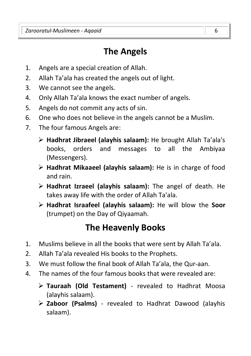# **The Angels**

- 1. Angels are a special creation of Allah.
- 2. Allah Ta'ala has created the angels out of light.
- 3. We cannot see the angels.
- 4. Only Allah Ta'ala knows the exact number of angels.
- 5. Angels do not commit any acts of sin.
- 6. One who does not believe in the angels cannot be a Muslim.
- 7. The four famous Angels are:
	- **Hadhrat Jibraeel (alayhis salaam):** He brought Allah Ta'ala's books, orders and messages to all the Ambiyaa (Messengers).
	- **Hadhrat Mikaaeel (alayhis salaam):** He is in charge of food and rain.
	- **Hadhrat Izraeel (alayhis salaam):** The angel of death. He takes away life with the order of Allah Ta'ala.
	- **Hadhrat Israafeel (alayhis salaam):** He will blow the **Soor** (trumpet) on the Day of Qiyaamah.

## **The Heavenly Books**

- 1. Muslims believe in all the books that were sent by Allah Ta'ala.
- 2. Allah Ta'ala revealed His books to the Prophets.
- 3. We must follow the final book of Allah Ta'ala, the Qur-aan.
- 4. The names of the four famous books that were revealed are:
	- **Tauraah (Old Testament)** revealed to Hadhrat Moosa (alayhis salaam).
	- **Zaboor (Psalms)** revealed to Hadhrat Dawood (alayhis salaam).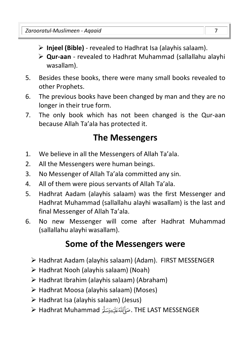- **Injeel (Bible)** revealed to Hadhrat Isa (alayhis salaam).
- **Qur-aan** revealed to Hadhrat Muhammad (sallallahu alayhi wasallam).
- 5. Besides these books, there were many small books revealed to other Prophets.
- 6. The previous books have been changed by man and they are no longer in their true form.
- 7. The only book which has not been changed is the Qur-aan because Allah Ta'ala has protected it.

## **The Messengers**

- 1. We believe in all the Messengers of Allah Ta'ala.
- 2. All the Messengers were human beings.
- 3. No Messenger of Allah Ta'ala committed any sin.
- 4. All of them were pious servants of Allah Ta'ala.
- 5. Hadhrat Aadam (alayhis salaam) was the first Messenger and Hadhrat Muhammad (sallallahu alayhi wasallam) is the last and final Messenger of Allah Ta'ala.
- 6. No new Messenger will come after Hadhrat Muhammad (sallallahu alayhi wasallam).

# **Some of the Messengers were**

- Hadhrat Aadam (alayhis salaam) (Adam). FIRST MESSENGER
- $\triangleright$  Hadhrat Nooh (alayhis salaam) (Noah)
- $\triangleright$  Hadhrat Ibrahim (alayhis salaam) (Abraham)
- Hadhrat Moosa (alayhis salaam) (Moses)
- $\triangleright$  Hadhrat Isa (alayhis salaam) (Jesus)
- Hadhrat Muhammad . THE LAST MESSENGER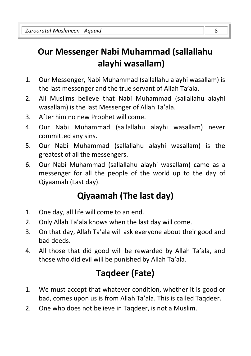# **Our Messenger Nabi Muhammad (sallallahu alayhi wasallam)**

- 1. Our Messenger, Nabi Muhammad (sallallahu alayhi wasallam) is the last messenger and the true servant of Allah Ta'ala.
- 2. All Muslims believe that Nabi Muhammad (sallallahu alayhi wasallam) is the last Messenger of Allah Ta'ala.
- 3. After him no new Prophet will come.
- 4. Our Nabi Muhammad (sallallahu alayhi wasallam) never committed any sins.
- 5. Our Nabi Muhammad (sallallahu alayhi wasallam) is the greatest of all the messengers.
- 6. Our Nabi Muhammad (sallallahu alayhi wasallam) came as a messenger for all the people of the world up to the day of Qiyaamah (Last day).

# **Qiyaamah (The last day)**

- 1. One day, all life will come to an end.
- 2. Only Allah Ta'ala knows when the last day will come.
- 3. On that day, Allah Ta'ala will ask everyone about their good and bad deeds.
- 4. All those that did good will be rewarded by Allah Ta'ala, and those who did evil will be punished by Allah Ta'ala.

# **Taqdeer (Fate)**

- 1. We must accept that whatever condition, whether it is good or bad, comes upon us is from Allah Ta'ala. This is called Taqdeer.
- 2. One who does not believe in Taqdeer, is not a Muslim.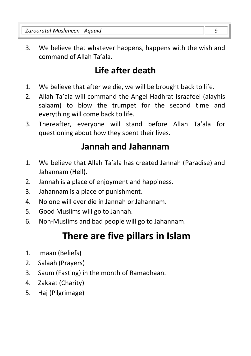3. We believe that whatever happens, happens with the wish and command of Allah Ta'ala.

# **Life after death**

- 1. We believe that after we die, we will be brought back to life.
- 2. Allah Ta'ala will command the Angel Hadhrat Israafeel (alayhis salaam) to blow the trumpet for the second time and everything will come back to life.
- 3. Thereafter, everyone will stand before Allah Ta'ala for questioning about how they spent their lives.

# **Jannah and Jahannam**

- 1. We believe that Allah Ta'ala has created Jannah (Paradise) and Jahannam (Hell).
- 2. Jannah is a place of enjoyment and happiness.
- 3. Jahannam is a place of punishment.
- 4. No one will ever die in Jannah or Jahannam.
- 5. Good Muslims will go to Jannah.
- 6. Non-Muslims and bad people will go to Jahannam.

# **There are five pillars in Islam**

- 1. Imaan (Beliefs)
- 2. Salaah (Prayers)
- 3. Saum (Fasting) in the month of Ramadhaan.
- 4. Zakaat (Charity)
- 5. Haj (Pilgrimage)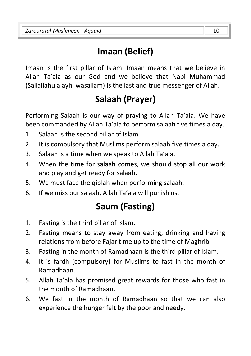# **Imaan (Belief)**

Imaan is the first pillar of Islam. Imaan means that we believe in Allah Ta'ala as our God and we believe that Nabi Muhammad (Sallallahu alayhi wasallam) is the last and true messenger of Allah.

# **Salaah (Prayer)**

Performing Salaah is our way of praying to Allah Ta'ala. We have been commanded by Allah Ta'ala to perform salaah five times a day.

- 1. Salaah is the second pillar of Islam.
- 2. It is compulsory that Muslims perform salaah five times a day.
- 3. Salaah is a time when we speak to Allah Ta'ala.
- 4. When the time for salaah comes, we should stop all our work and play and get ready for salaah.
- 5. We must face the qiblah when performing salaah.
- 6. If we miss our salaah, Allah Ta'ala will punish us.

# **Saum (Fasting)**

- 1. Fasting is the third pillar of Islam.
- 2. Fasting means to stay away from eating, drinking and having relations from before Fajar time up to the time of Maghrib.
- 3. Fasting in the month of Ramadhaan is the third pillar of Islam.
- 4. It is fardh (compulsory) for Muslims to fast in the month of Ramadhaan.
- 5. Allah Ta'ala has promised great rewards for those who fast in the month of Ramadhaan.
- 6. We fast in the month of Ramadhaan so that we can also experience the hunger felt by the poor and needy.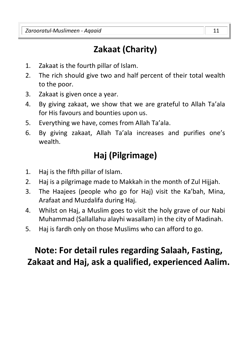# **Zakaat (Charity)**

- 1. Zakaat is the fourth pillar of Islam.
- 2. The rich should give two and half percent of their total wealth to the poor.
- 3. Zakaat is given once a year.
- 4. By giving zakaat, we show that we are grateful to Allah Ta'ala for His favours and bounties upon us.
- 5. Everything we have, comes from Allah Ta'ala.
- 6. By giving zakaat, Allah Ta'ala increases and purifies one's wealth.

# **Haj (Pilgrimage)**

- 1. Haj is the fifth pillar of Islam.
- 2. Haj is a pilgrimage made to Makkah in the month of Zul Hijjah.
- 3. The Haajees (people who go for Haj) visit the Ka'bah, Mina, Arafaat and Muzdalifa during Haj.
- 4. Whilst on Haj, a Muslim goes to visit the holy grave of our Nabi Muhammad (Sallallahu alayhi wasallam) in the city of Madinah.
- 5. Haj is fardh only on those Muslims who can afford to go.

# **Note: For detail rules regarding Salaah, Fasting, Zakaat and Haj, ask a qualified, experienced Aalim.**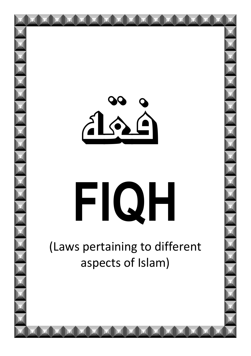



# **FIQH**

(Laws pertaining to different aspects of Islam)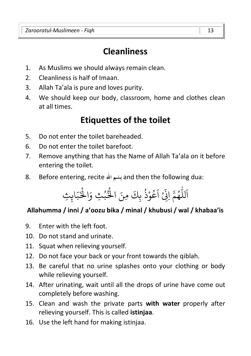# **Cleanliness**

- 1. As Muslims we should always remain clean.
- 2. Cleanliness is half of Imaan.
- 3. Allah Ta'ala is pure and loves purity.
- 4. We should keep our body, classroom, home and clothes clean at all times.

# **Etiquettes of the toilet**

- 5. Do not enter the toilet bareheaded.
- 6. Do not enter the toilet barefoot.
- 7. Remove anything that has the Name of Allah Ta'ala on it before entering the toilet.
- 8. Before entering, recite **ِ ا ّ مِ سْ ِب** and then the following dua: **ٰ**

#### - لل اَللّٰهُمَّ اِنِّيْ اَعُوْذُ بِكَ مِنَ الْخُبُثِ وَالْخَبَ ا َعُوْذُ بِكَ مِنَ الْخُبُثِ وَالْخَ **ٔ** ُ و<br>و ْ و<br>ڊ <u>ٔ</u> و<br>م ة<br>فِيْ اَ هُمَّ اِنِّي اَعُوْذُ بِكَ مِنَ الْخُبُثِ وَالْخَبَابِثِ

#### **Allahumma / inni / a'oozu bika / minal / khubusi / wal / khabaa'is**

- 9. Enter with the left foot.
- 10. Do not stand and urinate.
- 11. Squat when relieving yourself.
- 12. Do not face your back or your front towards the qiblah.
- 13. Be careful that no urine splashes onto your clothing or body while relieving yourself.
- 14. After urinating, wait until all the drops of urine have come out completely before washing.
- 15. Clean and wash the private parts **with water** properly after relieving yourself. This is called **istinjaa**.
- 16. Use the left hand for making istinjaa.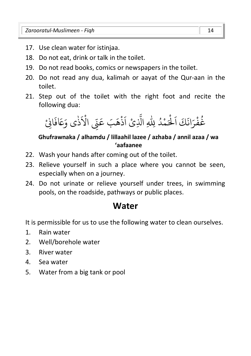- 17. Use clean water for istinjaa.
- 18. Do not eat, drink or talk in the toilet.
- 19. Do not read books, comics or newspapers in the toilet.
- 20. Do not read any dua, kalimah or aayat of the Qur-aan in the toilet.
- 21. Step out of the toilet with the right foot and recite the following dua:



#### **Ghufrawnaka / alhamdu / lillaahil lazee / azhaba / annil azaa / wa 'aafaanee**

- 22. Wash your hands after coming out of the toilet.
- 23. Relieve yourself in such a place where you cannot be seen, especially when on a journey.
- 24. Do not urinate or relieve yourself under trees, in swimming pools, on the roadside, pathways or public places.

#### **Water**

It is permissible for us to use the following water to clean ourselves.

- 1. Rain water
- 2. Well/borehole water
- 3. River water
- 4. Sea water
- 5. Water from a big tank or pool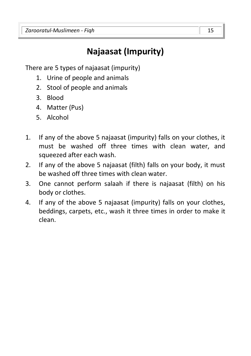# **Najaasat (Impurity)**

There are 5 types of najaasat (impurity)

- 1. Urine of people and animals
- 2. Stool of people and animals
- 3. Blood
- 4. Matter (Pus)
- 5. Alcohol
- 1. If any of the above 5 najaasat (impurity) falls on your clothes, it must be washed off three times with clean water, and squeezed after each wash.
- 2. If any of the above 5 najaasat (filth) falls on your body, it must be washed off three times with clean water.
- 3. One cannot perform salaah if there is najaasat (filth) on his body or clothes.
- 4. If any of the above 5 najaasat (impurity) falls on your clothes, beddings, carpets, etc., wash it three times in order to make it clean.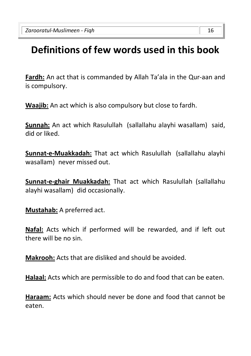# **Definitions of few words used in this book**

**Fardh:** An act that is commanded by Allah Ta'ala in the Qur-aan and is compulsory.

**Waajib:** An act which is also compulsory but close to fardh.

**Sunnah:** An act which Rasulullah (sallallahu alayhi wasallam) said, did or liked.

**Sunnat-e-Muakkadah:** That act which Rasulullah (sallallahu alayhi wasallam) never missed out.

**Sunnat-e-ghair Muakkadah:** That act which Rasulullah (sallallahu alayhi wasallam) did occasionally.

**Mustahab:** A preferred act.

**Nafal:** Acts which if performed will be rewarded, and if left out there will be no sin.

**Makrooh:** Acts that are disliked and should be avoided.

**Halaal:** Acts which are permissible to do and food that can be eaten.

**Haraam:** Acts which should never be done and food that cannot be eaten.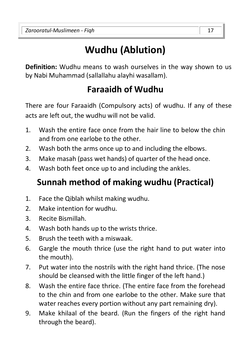# **Wudhu (Ablution)**

**Definition:** Wudhu means to wash ourselves in the way shown to us by Nabi Muhammad (sallallahu alayhi wasallam).

# **Faraaidh of Wudhu**

There are four Faraaidh (Compulsory acts) of wudhu. If any of these acts are left out, the wudhu will not be valid.

- 1. Wash the entire face once from the hair line to below the chin and from one earlobe to the other.
- 2. Wash both the arms once up to and including the elbows.
- 3. Make masah (pass wet hands) of quarter of the head once.
- 4. Wash both feet once up to and including the ankles.

# **Sunnah method of making wudhu (Practical)**

- 1. Face the Qiblah whilst making wudhu.
- 2. Make intention for wudhu.
- 3. Recite Bismillah.
- 4. Wash both hands up to the wrists thrice.
- 5. Brush the teeth with a miswaak.
- 6. Gargle the mouth thrice (use the right hand to put water into the mouth).
- 7. Put water into the nostrils with the right hand thrice. (The nose should be cleansed with the little finger of the left hand.)
- 8. Wash the entire face thrice. (The entire face from the forehead to the chin and from one earlobe to the other. Make sure that water reaches every portion without any part remaining dry).
- 9. Make khilaal of the beard. (Run the fingers of the right hand through the beard).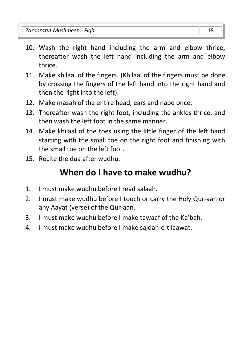*Zarooratul-Muslimeen - Fiqh* 18

- 10. Wash the right hand including the arm and elbow thrice, thereafter wash the left hand including the arm and elbow thrice.
- 11. Make khilaal of the fingers. (Khilaal of the fingers must be done by crossing the fingers of the left hand into the right hand and then the right into the left).
- 12. Make masah of the entire head, ears and nape once.
- 13. Thereafter wash the right foot, including the ankles thrice, and then wash the left foot in the same manner.
- 14. Make khilaal of the toes using the little finger of the left hand starting with the small toe on the right foot and finishing with the small toe on the left foot.
- 15. Recite the dua after wudhu.

# **When do I have to make wudhu?**

- 1. I must make wudhu before I read salaah.
- 2. I must make wudhu before I touch or carry the Holy Qur-aan or any Aayat (verse) of the Qur-aan.
- 3. I must make wudhu before I make tawaaf of the Ka'bah.
- 4. I must make wudhu before I make sajdah-e-tilaawat.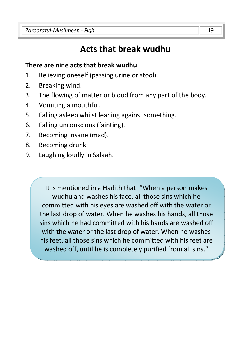## **Acts that break wudhu**

#### **There are nine acts that break wudhu**

- 1. Relieving oneself (passing urine or stool).
- 2. Breaking wind.
- 3. The flowing of matter or blood from any part of the body.
- 4. Vomiting a mouthful.
- 5. Falling asleep whilst leaning against something.
- 6. Falling unconscious (fainting).
- 7. Becoming insane (mad).
- 8. Becoming drunk.
- 9. Laughing loudly in Salaah.

It is mentioned in a Hadith that: "When a person makes wudhu and washes his face, all those sins which he committed with his eyes are washed off with the water or the last drop of water. When he washes his hands, all those sins which he had committed with his hands are washed off with the water or the last drop of water. When he washes his feet, all those sins which he committed with his feet are washed off, until he is completely purified from all sins."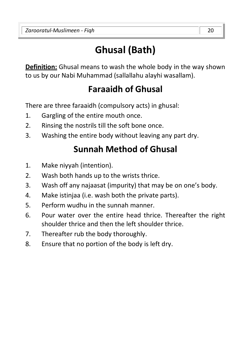# **Ghusal (Bath)**

**Definition:** Ghusal means to wash the whole body in the way shown to us by our Nabi Muhammad (sallallahu alayhi wasallam).

# **Faraaidh of Ghusal**

There are three faraaidh (compulsory acts) in ghusal:

- 1. Gargling of the entire mouth once.
- 2. Rinsing the nostrils till the soft bone once.
- 3. Washing the entire body without leaving any part dry.

# **Sunnah Method of Ghusal**

- 1. Make niyyah (intention).
- 2. Wash both hands up to the wrists thrice.
- 3. Wash off any najaasat (impurity) that may be on one's body.
- 4. Make istinjaa (i.e. wash both the private parts).
- 5. Perform wudhu in the sunnah manner.
- 6. Pour water over the entire head thrice. Thereafter the right shoulder thrice and then the left shoulder thrice.
- 7. Thereafter rub the body thoroughly.
- 8. Ensure that no portion of the body is left dry.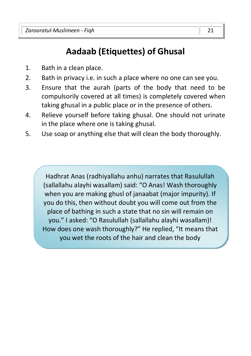# **Aadaab (Etiquettes) of Ghusal**

- 1. Bath in a clean place.
- 2. Bath in privacy i.e. in such a place where no one can see you.
- 3. Ensure that the aurah (parts of the body that need to be compulsorily covered at all times) is completely covered when taking ghusal in a public place or in the presence of others.
- 4. Relieve yourself before taking ghusal. One should not urinate in the place where one is taking ghusal.
- 5. Use soap or anything else that will clean the body thoroughly.

Hadhrat Anas (radhiyallahu anhu) narrates that Rasulullah (sallallahu alayhi wasallam) said: "O Anas! Wash thoroughly when you are making ghusl of janaabat (major impurity). If you do this, then without doubt you will come out from the place of bathing in such a state that no sin will remain on you." I asked: "O Rasulullah (sallallahu alayhi wasallam)! How does one wash thoroughly?" He replied, "It means that you wet the roots of the hair and clean the body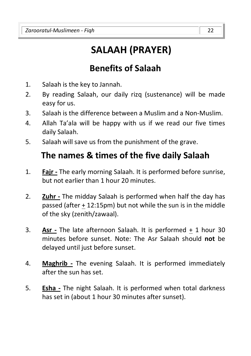# **SALAAH (PRAYER)**

# **Benefits of Salaah**

- 1. Salaah is the key to Jannah.
- 2. By reading Salaah, our daily rizq (sustenance) will be made easy for us.
- 3. Salaah is the difference between a Muslim and a Non-Muslim.
- 4. Allah Ta'ala will be happy with us if we read our five times daily Salaah.
- 5. Salaah will save us from the punishment of the grave.

# **The names & times of the five daily Salaah**

- 1. **Fajr -** The early morning Salaah. It is performed before sunrise, but not earlier than 1 hour 20 minutes.
- 2. **Zuhr -** The midday Salaah is performed when half the day has passed (after + 12:15pm) but not while the sun is in the middle of the sky (zenith/zawaal).
- 3. **Asr -** The late afternoon Salaah. It is performed + 1 hour 30 minutes before sunset. Note: The Asr Salaah should **not** be delayed until just before sunset.
- 4. **Maghrib -** The evening Salaah. It is performed immediately after the sun has set.
- 5. **Esha -** The night Salaah. It is performed when total darkness has set in (about 1 hour 30 minutes after sunset).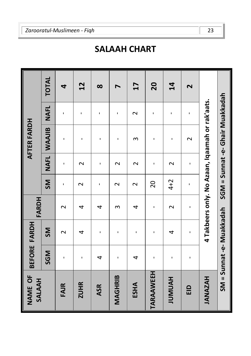# **SALAAH CHART**

| NAME OF<br>SALAAH |              | BEFORE FARDH              | <b>FARDH</b> |                |             | <b>AFTER FARDH</b>                              |              |                |
|-------------------|--------------|---------------------------|--------------|----------------|-------------|-------------------------------------------------|--------------|----------------|
|                   | <b>SGM</b>   | <b>SM</b>                 |              | <b>SM</b>      | <b>NAFL</b> | WAAJIB                                          | <b>NAFL</b>  | <b>TOTAL</b>   |
| <b>FAJR</b>       | ï            | $\sim$                    | $\sim$       | $\mathbf I$    | ı           | ı                                               | $\mathbf{I}$ | 4              |
| <b>ZUHR</b>       | f,           | 4                         | 4            | $\sim$         | $\sim$      | f,                                              | $\mathbf{I}$ | 2 <sub>2</sub> |
| <b>ASR</b>        | 4            | J.                        | 4            | ı              | J.          | J.                                              | ı            | $\infty$       |
| <b>MAGHRIB</b>    | $\mathbf{I}$ | $\mathbf{I}$              | m            | $\sim$         | $\sim$      | $\mathbf{I}$                                    | f,           | N              |
| ESHA              | 4            | $\blacksquare$            | 4            | $\sim$         | $\sim$      | S                                               | $\sim$       | 17             |
| <b>TARAAWEEH</b>  | ı            | f,                        | f,           | $\overline{c}$ | Ĭ.          | ı                                               | f,           | 20             |
| <b>HANNALL</b>    | $\mathbf{I}$ | 4                         | $\sim$       | $4+2$          | $\sim$      | $\mathbf{I}$                                    | $\mathbf I$  | $\mathbf{1}$   |
| EID               | $\mathbf{I}$ | I.                        | $\mathbf{I}$ | $\mathbf{I}$   | $\mathbf I$ | $\sim$                                          | $\mathbf{I}$ | $\sim$         |
| <b>JANAZAH</b>    |              |                           |              |                |             | 4 Takbeers only. No Azaan, Iqaamah or rak'aats. |              |                |
|                   |              | SM = Sunnat -e- Muakkadah |              |                |             | SGM = Sunnat -e- Ghair Muakkadah                |              |                |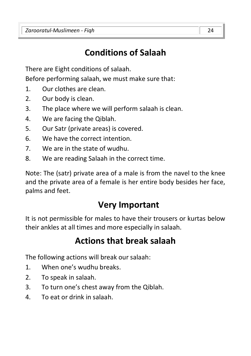# **Conditions of Salaah**

There are Eight conditions of salaah.

Before performing salaah, we must make sure that:

- 1. Our clothes are clean.
- 2. Our body is clean.
- 3. The place where we will perform salaah is clean.
- 4. We are facing the Qiblah.
- 5. Our Satr (private areas) is covered.
- 6. We have the correct intention.
- 7. We are in the state of wudhu.
- 8. We are reading Salaah in the correct time.

Note: The (satr) private area of a male is from the navel to the knee and the private area of a female is her entire body besides her face, palms and feet.

# **Very Important**

It is not permissible for males to have their trousers or kurtas below their ankles at all times and more especially in salaah.

## **Actions that break salaah**

The following actions will break our salaah:

- 1. When one's wudhu breaks.
- 2. To speak in salaah.
- 3. To turn one's chest away from the Qiblah.
- 4. To eat or drink in salaah.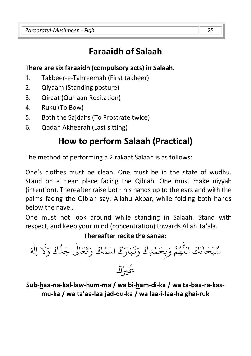# **Faraaidh of Salaah**

#### **There are six faraaidh (compulsory acts) in Salaah.**

- 1. Takbeer-e-Tahreemah (First takbeer)
- 2. Qiyaam (Standing posture)
- 3. Qiraat (Qur-aan Recitation)
- 4. Ruku (To Bow)
- 5. Both the Sajdahs (To Prostrate twice)
- 6. Qadah Akheerah (Last sitting)

# **How to perform Salaah (Practical)**

The method of performing a 2 rakaat Salaah is as follows:

One's clothes must be clean. One must be in the state of wudhu. Stand on a clean place facing the Qiblah. One must make niyyah (intention). Thereafter raise both his hands up to the ears and with the palms facing the Qiblah say: Allahu Akbar, while folding both hands below the navel.

One must not look around while standing in Salaah. Stand with respect, and keep your mind (concentration) towards Allah Ta'ala.

#### **Thereafter recite the sanaa:**

-كَ الل َ َان ح ْ ب ُ س َا0 ع َ ت َ و كَ ُ م ْ َ اس ك َ َار ب َ ت َ و َ ِدك ْ م َ ِح ب َ و م ُ ه َ ) َ و َ ك 6 د َ ج َ ٰ اِل َ ك ُْ ي َ غ

**Sub-haa-na-kal-law-hum-ma / wa bi-ham-di-ka / wa ta-baa-ra-kasmu-ka / wa ta'aa-laa jad-du-ka / wa laa-i-laa-ha ghai-ruk**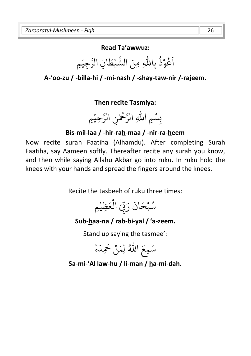**Read Ta'awwuz:** 

اللَّٰہِ عَوْذ بِال و<br>ڊ ْ و<br>م اَعُوْذُ بِاللّٰهِ مِنَ الشَّيْطَانِ الرَّجِيْمِ ا ْ ْ ر<br>مة الش

**A-'oo-zu / -billa-hi / -mi-nash / -shay-taw-nir /-rajeem.** 

**Then recite Tasmiya:** 



**Bis-mil-laa / -hir-rah-maa / -nir-ra-heem** 

Now recite surah Faatiha (Alhamdu). After completing Surah Faatiha, say Aameen softly. Thereafter recite any surah you know, and then while saying Allahu Akbar go into ruku. In ruku hold the knees with your hands and spread the fingers around the knees.

Recite the tasbeeh of ruku three times:

ِ<br>أ <u>بابا</u> ں<br>( ب َ ر سُبْحَانَ رَبِّيَ الْعَظِيْمِ ْ و ْ ِ<br>• ع ال ْ

#### **Sub-haa-na / rab-bi-yal / 'a-zeem.**

Stand up saying the tasmee':



**Sa-mi-'Al law-hu / li-man / ha-mi-dah.**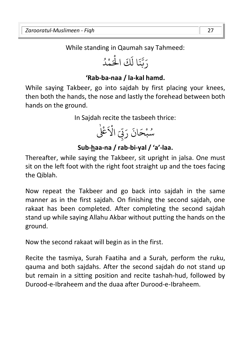While standing in Qaumah say Tahmeed:

#### ا  $\ddot{\cdot}$ ن بر<br>د رَبَّنَا لَكَ الْحَمْدُ و<br>ا ْ **ٔ**<br>: ل

#### **'Rab-ba-naa / la-kal hamd.**

While saying Takbeer, go into sajdah by first placing your knees, then both the hands, the nose and lastly the forehead between both hands on the ground.

In Sajdah recite the tasbeeh thrice:



#### **Sub-haa-na / rab-bi-yal / 'a'-laa.**

Thereafter, while saying the Takbeer, sit upright in jalsa. One must sit on the left foot with the right foot straight up and the toes facing the Qiblah.

Now repeat the Takbeer and go back into sajdah in the same manner as in the first sajdah. On finishing the second sajdah, one rakaat has been completed. After completing the second sajdah stand up while saying Allahu Akbar without putting the hands on the ground.

Now the second rakaat will begin as in the first.

Recite the tasmiya, Surah Faatiha and a Surah, perform the ruku, qauma and both sajdahs. After the second sajdah do not stand up but remain in a sitting position and recite tashah-hud, followed by Durood-e-Ibraheem and the duaa after Durood-e-Ibraheem.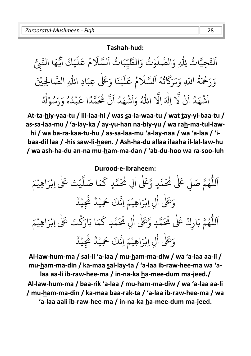#### **Tashah-hud:**

ٰ و ر<br>آ لتَّحِيَّاتُ لِلْهِ وَالصَّلَ -ِ<br>إِن ﷺ عَلَيْهِ إِنَّ إِن السَّيَالَ فِي إِنَّ السَّرَاثِ إِنَّ إِنَّ إِنَّ إِنَّ إِنَّ إِنَّ ا يِّبَاتُ اَلسَّلَا ِ<br>يد ِثُ وَالطَّيِّبَاتُ اَلسَّلَامُ عَلَيْكَ اَيُّهَا النَّبِيُّ و<br>د يَ<br>پ <sub>مْ</sub>لِّ<br>يْكَ اَ ْ َ  $\uparrow$ ِ<br>م ع م و<br>ھ و<br>ڏ ة ِ<br>چ وَرَحْمَ ر<br>آ تُهُ اَلسَّلَا وړ ر<br>م رْكَا ِرِ ر<br>لمل<sup>و</sup> وَبَ -اللهِ وَبَرَكَاتُهُ اَلسَّلَامُ عَلَيْنَا وَعَلٰى عِبَادِ اللهِ ا ْ َ ل ِ<br>م مُ عَلَيْنَا وَعَلٰى عِبَادِ اللّٰهِ الصَّالِحِيْنَ و<br>ھ ِ<br>نْ لَّا .<br>شهَدُ اَ **ٔ** َ اَشْهَدُ اَنْ لَّا اِلٰهَ ٰ بر<br>1 اِلَّا اللّٰهُ وَاَشْهَدُ اَنَّ مُحَمَّدًا عَبْدُهُ وَرَسُوْلُهُ و<br>لھ و<br>ا ْ و<br>. و<br>م و<br>ا ْ ر<br>ح ًمَّدًا عَ ِ<br>هر م بہ<br>• ن .<br>شهَدُ آ **ٔ** اللَّهُ وَاَ ا

 **At-ta-hiy-yaa-tu / lil-laa-hi / was sa-la-waa-tu / wat tay-yi-baa-tu / as-sa-laa-mu / 'a-lay-ka / ay-yu-han na-biy-yu / wa rah-ma-tul-lawhi / wa ba-ra-kaa-tu-hu / as-sa-laa-mu 'a-lay-naa / wa 'a-laa / 'ibaa-dil laa / -his saw-li-heen. / Ash-ha-du allaa ilaaha il-lal-law-hu / wa ash-ha-du an-na mu-ham-ma-dan / 'ab-du-hoo wa ra-soo-luh** 

**Durood-e-Ibraheem:** 

يْتَ عَلٰى اِبْرَاهِيْمَ ْ ْ ٰ ْ بر<br>آ ل َا صَ م ر<br>ح <sub>م</sub>َّدٍ كَ ِ<br>هر مَّدٍ وَّعَلٰى اٰلِ مُحَ ٰ ٰ ِ<br>حُمَ َللّٰهُمَّ صَلِّ عَلٰى مُحَ ٰ و<br>م -ر<br>آ ا و<br>د يْدٌ ْ وَعَلٰى اٰلِ اِبْرَاهِيْمَ اِنَّكَ حَمِيْدٌ مَّحِ ْ ْ ْ ٰ <sub>َ</sub>مَا بَارَكْتَ عَلٰى اِبْرَاهِيْمَ ْ ْ ٰ ْ ر<br>م <sub>مَّدٍ</sub> كَ ِ<br>هر <sub>مَّدٍ</sub> وَعَلٰى اٰلِ مُحَ ٰ ِ<br>هر للّٰهُمَّ بَارِكْ عَلٰى مُحَ ٰ و<br>م -ر<br>آ ا وَعَلٰی اٰلِ ֖֖֖֖֖֖֧֚֚֚֚֚֚֚֚֚֚֚֬֝֝֝֝<u>֚</u><br>֧֧֩֩ و<br>د ەر<br>چىد ْ اِبْرَاهِيْمَ اِنَّكَ حَمِيْدٌ مَّجِ ْ ْ ْ

**Al-law-hum-ma / sal-li 'a-laa / mu-ham-ma-diw / wa 'a-laa aa-li / mu-ham-ma-din / ka-maa sal-lay-ta / 'a-laa ib-raw-hee-ma wa 'alaa aa-li ib-raw-hee-ma / in-na-ka ha-mee-dum ma-jeed./ Al-law-hum-ma / baa-rik 'a-laa / mu-ham-ma-diw / wa 'a-laa aa-li / mu-ham-ma-din / ka-maa baa-rak-ta / 'a-laa ib-raw-hee-ma / wa 'a-laa aali ib-raw-hee-ma / in-na-ka ha-mee-dum ma-jeed.**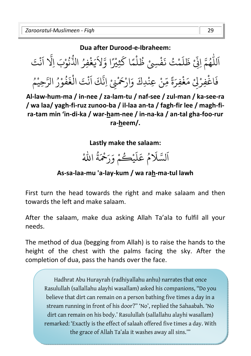#### **Dua after Durood-e-Ibraheem:**



**Al-law-hum-ma / in-nee / za-lam-tu / naf-see / zul-man / ka-see-ra / wa laa/ yagh-fi-ruz zunoo-ba / il-laa an-ta / fagh-fir lee / magh-fira-tam min 'in-di-ka / war-ham-nee / in-na-ka / an-tal gha-foo-rur ra-heem/.** 

**Lastly make the salaam:** 



**As-sa-laa-mu 'a-lay-kum / wa rah-ma-tul lawh** 

First turn the head towards the right and make salaam and then towards the left and make salaam.

After the salaam, make dua asking Allah Ta'ala to fulfil all your needs.

The method of dua (begging from Allah) is to raise the hands to the height of the chest with the palms facing the sky. After the completion of dua, pass the hands over the face.

Hadhrat Abu Hurayrah (radhiyallahu anhu) narrates that once Rasulullah (sallallahu alayhi wasallam) asked his companions, "Do you believe that dirt can remain on a person bathing five times a day in a stream running in front of his door?" 'No', replied the Sahaabah. 'No dirt can remain on his body.' Rasulullah (sallallahu alayhi wasallam) remarked: 'Exactly is the effect of salaah offered five times a day. With the grace of Allah Ta'ala it washes away all sins.'"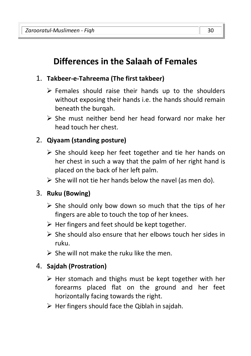# **Differences in the Salaah of Females**

#### 1. **Takbeer-e-Tahreema (The first takbeer)**

- $\triangleright$  Females should raise their hands up to the shoulders without exposing their hands i.e. the hands should remain beneath the burqah.
- $\triangleright$  She must neither bend her head forward nor make her head touch her chest.

#### 2. **Qiyaam (standing posture)**

- $\triangleright$  She should keep her feet together and tie her hands on her chest in such a way that the palm of her right hand is placed on the back of her left palm.
- $\triangleright$  She will not tie her hands below the navel (as men do).

#### 3. **Ruku (Bowing)**

- $\triangleright$  She should only bow down so much that the tips of her fingers are able to touch the top of her knees.
- $\triangleright$  Her fingers and feet should be kept together.
- $\triangleright$  She should also ensure that her elbows touch her sides in ruku.
- $\triangleright$  She will not make the ruku like the men.

#### 4. **Sajdah (Prostration)**

- $\triangleright$  Her stomach and thighs must be kept together with her forearms placed flat on the ground and her feet horizontally facing towards the right.
- $\triangleright$  Her fingers should face the Qiblah in sajdah.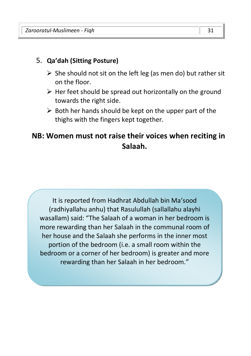#### 5. **Qa'dah (Sitting Posture)**

- $\triangleright$  She should not sit on the left leg (as men do) but rather sit on the floor.
- $\triangleright$  Her feet should be spread out horizontally on the ground towards the right side.
- $\triangleright$  Both her hands should be kept on the upper part of the thighs with the fingers kept together.

#### **NB: Women must not raise their voices when reciting in Salaah.**

It is reported from Hadhrat Abdullah bin Ma'sood (radhiyallahu anhu) that Rasulullah (sallallahu alayhi wasallam) said: "The Salaah of a woman in her bedroom is more rewarding than her Salaah in the communal room of her house and the Salaah she performs in the inner most portion of the bedroom (i.e. a small room within the bedroom or a corner of her bedroom) is greater and more rewarding than her Salaah in her bedroom."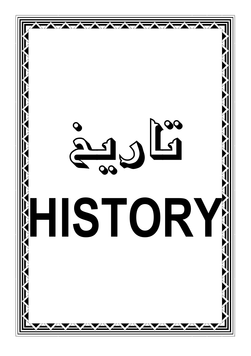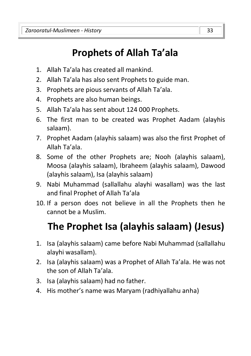# **Prophets of Allah Ta'ala**

- 1. Allah Ta'ala has created all mankind.
- 2. Allah Ta'ala has also sent Prophets to guide man.
- 3. Prophets are pious servants of Allah Ta'ala.
- 4. Prophets are also human beings.
- 5. Allah Ta'ala has sent about 124 000 Prophets.
- 6. The first man to be created was Prophet Aadam (alayhis salaam).
- 7. Prophet Aadam (alayhis salaam) was also the first Prophet of Allah Ta'ala.
- 8. Some of the other Prophets are; Nooh (alayhis salaam), Moosa (alayhis salaam), Ibraheem (alayhis salaam), Dawood (alayhis salaam), Isa (alayhis salaam)
- 9. Nabi Muhammad (sallallahu alayhi wasallam) was the last and final Prophet of Allah Ta'ala
- 10. If a person does not believe in all the Prophets then he cannot be a Muslim.

# **The Prophet Isa (alayhis salaam) (Jesus)**

- 1. Isa (alayhis salaam) came before Nabi Muhammad (sallallahu alayhi wasallam).
- 2. Isa (alayhis salaam) was a Prophet of Allah Ta'ala. He was not the son of Allah Ta'ala.
- 3. Isa (alayhis salaam) had no father.
- 4. His mother's name was Maryam (radhiyallahu anha)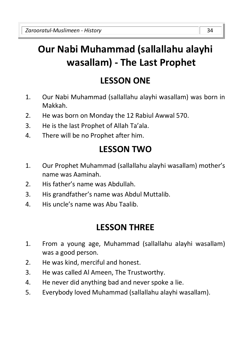# **Our Nabi Muhammad (sallallahu alayhi wasallam) - The Last Prophet**

# **LESSON ONE**

- 1. Our Nabi Muhammad (sallallahu alayhi wasallam) was born in Makkah.
- 2. He was born on Monday the 12 Rabiul Awwal 570.
- 3. He is the last Prophet of Allah Ta'ala.
- 4. There will be no Prophet after him.

# **LESSON TWO**

- 1. Our Prophet Muhammad (sallallahu alayhi wasallam) mother's name was Aaminah.
- 2. His father's name was Abdullah.
- 3. His grandfather's name was Abdul Muttalib.
- 4. His uncle's name was Abu Taalib.

# **LESSON THREE**

- 1. From a young age, Muhammad (sallallahu alayhi wasallam) was a good person.
- 2. He was kind, merciful and honest.
- 3. He was called Al Ameen, The Trustworthy.
- 4. He never did anything bad and never spoke a lie.
- 5. Everybody loved Muhammad (sallallahu alayhi wasallam).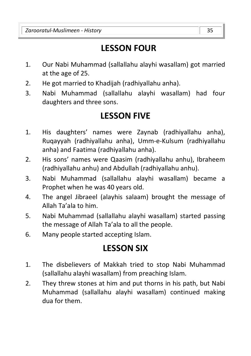## **LESSON FOUR**

- 1. Our Nabi Muhammad (sallallahu alayhi wasallam) got married at the age of 25.
- 2. He got married to Khadijah (radhiyallahu anha).
- 3. Nabi Muhammad (sallallahu alayhi wasallam) had four daughters and three sons.

#### **LESSON FIVE**

- 1. His daughters' names were Zaynab (radhiyallahu anha), Ruqayyah (radhiyallahu anha), Umm-e-Kulsum (radhiyallahu anha) and Faatima (radhiyallahu anha).
- 2. His sons' names were Qaasim (radhiyallahu anhu), Ibraheem (radhiyallahu anhu) and Abdullah (radhiyallahu anhu).
- 3. Nabi Muhammad (sallallahu alayhi wasallam) became a Prophet when he was 40 years old.
- 4. The angel Jibraeel (alayhis salaam) brought the message of Allah Ta'ala to him.
- 5. Nabi Muhammad (sallallahu alayhi wasallam) started passing the message of Allah Ta'ala to all the people.
- 6. Many people started accepting Islam.

#### **LESSON SIX**

- 1. The disbelievers of Makkah tried to stop Nabi Muhammad (sallallahu alayhi wasallam) from preaching Islam.
- 2. They threw stones at him and put thorns in his path, but Nabi Muhammad (sallallahu alayhi wasallam) continued making dua for them.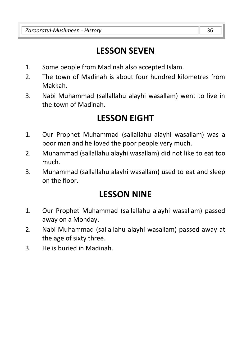# **LESSON SEVEN**

- 1. Some people from Madinah also accepted Islam.
- 2. The town of Madinah is about four hundred kilometres from Makkah.
- 3. Nabi Muhammad (sallallahu alayhi wasallam) went to live in the town of Madinah.

## **LESSON EIGHT**

- 1. Our Prophet Muhammad (sallallahu alayhi wasallam) was a poor man and he loved the poor people very much.
- 2. Muhammad (sallallahu alayhi wasallam) did not like to eat too much.
- 3. Muhammad (sallallahu alayhi wasallam) used to eat and sleep on the floor.

## **LESSON NINE**

- 1. Our Prophet Muhammad (sallallahu alayhi wasallam) passed away on a Monday.
- 2. Nabi Muhammad (sallallahu alayhi wasallam) passed away at the age of sixty three.
- 3. He is buried in Madinah.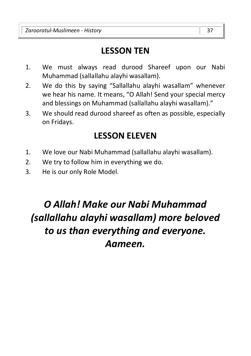# **LESSON TEN**

- 1. We must always read durood Shareef upon our Nabi Muhammad (sallallahu alayhi wasallam).
- 2. We do this by saying "Sallallahu alayhi wasallam" whenever we hear his name. It means, "O Allah! Send your special mercy and blessings on Muhammad (sallallahu alayhi wasallam)."
- 3. We should read durood shareef as often as possible, especially on Fridays.

## **LESSON ELEVEN**

- 1. We love our Nabi Muhammad (sallallahu alayhi wasallam).
- 2. We try to follow him in everything we do.
- 3. He is our only Role Model.

# *O Allah! Make our Nabi Muhammad (sallallahu alayhi wasallam) more beloved to us than everything and everyone. Aameen.*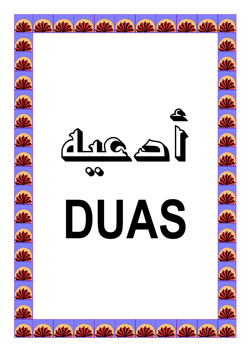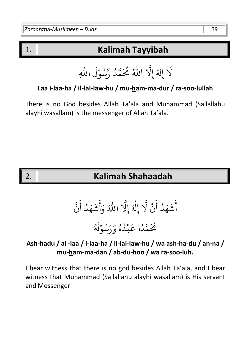## 1. **Kalimah Tayyibah**

َ ) َ ٰ ِل إ )ِ ُ- إ ا# - ا# ِ ُ ل ْ و ُ س ر ُ د م َُ م

**Laa i-laa-ha / il-lal-law-hu / mu-ham-ma-dur / ra-soo-lullah** 

There is no God besides Allah Ta'ala and Muhammad (Sallallahu alayhi wasallam) is the messenger of Allah Ta'ala.

# 2. **Kalimah Shahaadah**

 ) ْ ن َ ُ أ د َ ه ْ ش َ أ َ ٰ ِل إ )ِ ا# ُ- إ ن َ ُ أ د َ ه ْ ش َ أ َ و ُ ُ ل ْ و ُ س َ ر َ و ُ ه ُ د ْ ب َ ً ا ع د م َُ م

#### **Ash-hadu / al -laa / i-laa-ha / il-lal-law-hu / wa ash-ha-du / an-na / mu-ham-ma-dan / ab-du-hoo / wa ra-soo-luh.**

I bear witness that there is no god besides Allah Ta'ala, and I bear witness that Muhammad (Sallallahu alayhi wasallam) is His servant and Messenger.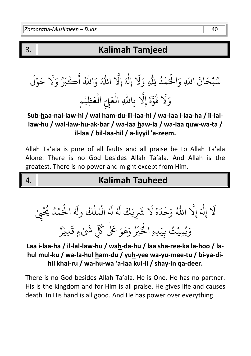#### 3. **Kalimah Tamjeed**

، اللَّٰہ*ِ* سُبْحَانَ اللّٰهِ وَالْحَمْدُ لِلّٰهِ ْ و -وَالْحَمْدُ لِلْهِ ْ <u>ّ</u> ِ<br>ا وَلَا إِلٰهَ ֧֧֧֚֬֝֟֟֓֕֝֟֓֕֝֬֝֟֓֝֬֝֓֕֓֝֬֝֬֝֓֝֬֝֬֝֟֩֓֝֬֝֓֝֬ بة<br>1 إِلَّا اللَّهُ وَاللَّهُ ِ<br>ا أَكْبَرُ وَلَا حَوْلَ ْ  $\tilde{\phantom{a}}$  ح َ وَلَا قُوَّ ور بر<br>1 ةَ إِلَّا بِاللَّهِ الْعَلِيِّ الْعَظِيْم لَّهِ الْعَلِيّ الْعَظِيْ ْ ्<br>ब ع ِِلّ ال َ ْ ع ال ْ

**Sub-haa-nal-law-hi / wal ham-du-lil-laa-hi / wa-laa i-laa-ha / il-lallaw-hu / wal-law-hu-ak-bar / wa-laa haw-la / wa-laa quw-wa-ta / il-laa / bil-laa-hil / a-liyyil 'a-zeem.** 

Allah Ta'ala is pure of all faults and all praise be to Allah Ta'ala Alone. There is no God besides Allah Ta'ala. And Allah is the greatest. There is no power and might except from Him.

#### 4. **Kalimah Tauheed**

ِ<br>آ <u>لَا</u> إِلٰهَ به<br>1 إِلَّا اللَّهُ َ ) ُ ه ِ<br>د وَحْدَ <u>ّ</u> و<br>لم <sub>شَرِيْكَ</sub> لَهُ لَهُ الْمُلْكُ ولَهُ ْ ْ و<br>م ْ لَهُ الْمُلْكُ ولَهُ الْحَمْدُ يُحْيِيْ ْ و<br>م <u>ّ</u> <u>ٔ</u> وَيُمِيْتُ بِيَدِهِ الْخَيْرُ وَهُوَ عَلَىٰ ْ و<br>د ٰ و<br>م ِ<br>په ْ ֧֦֧֦֧֦֧ׅ֚֚֝֟֜֓֬֝ هِ الْخَيْرُ وَهُوَ عَلٰى كُلِّ شَىْءٍ قَدِيْرٌ ر ْ  $\ddot{\mathbf{r}}$ .<br>شَیْءٍ قَ ْ

#### **Laa i-laa-ha / il-lal-law-hu / wah-da-hu / laa sha-ree-ka la-hoo / lahul mul-ku / wa-la-hul ham-du / yuh-yee wa-yu-mee-tu / bi-ya-dihil khai-ru / wa-hu-wa 'a-laa kul-li / shay-in qa-deer.**

There is no God besides Allah Ta'ala. He is One. He has no partner. His is the kingdom and for Him is all praise. He gives life and causes death. In His hand is all good. And He has power over everything.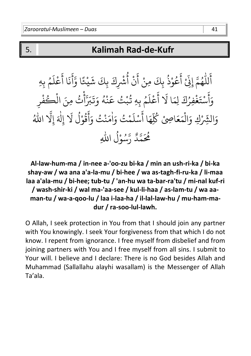#### 5. **Kalimah Rad-de-Kufr**

- لل ِ<br>ع أ و<br>م ع ِ<br>ع ة<br>في أ هُمَّ إِنِّیْ أَعُوْذُ بِكَ مِنْ أَنْ و<br>م ْ ِ<br>ع وْذُ بِكَ مِنْ أَنْ أُشْرِكَ بِكَ شَيْئًا وَّأَنَا و<br>ڊ ْ  $\ddot{\cdot}$ ن ِ<br>ع يْئًا وَّأَ ْ  $\tilde{\cdot}$  ش ِكَ ب ِ<br>و أُشْرِكَ بِكَ شَيْئًا وَّأَنَا أَعْلَمُ بِهِ ور و ر<br>آ ل ع ْ ِ<br>ع أ .<br>فُفِرُكَ لِمَا و<br>, <u>ٔ</u>  $\ddot{\cdot}$ ستَه ْ ِ<br>ع أ وَأَسْتَغْفِرُكَ لِمَا َ لَا أَعْلَمُ بِهِ تُبْتُ عَنْهُ و<br>لم ْ ِ<br>م مُ بِهِ تُبْتُ عَ ْ و<br>به و ر<br>آ ل ع **ٔ** ِ<br>ع أ تَبَرَّأْتُ مِنَ الْكُفْرِ <u>ٔ</u> ْ ْ أ ت َ و ْ ہ<br>س ِ<br>ع َا أ ه ں<br>کا مَاصِیْ کُلِّ ر وَالشِّرْكِ وَالْمَعَاصِيْ كُلِّهَا أَسْلَمْتُ وَ **ٔ** ْ <u>ٔ</u> َ  $\uplambda$ ٰ ا ة<br>قول لا ْ ور ِ<br>ع أ :<br>نْتُ وَ ْ ِ<br>م مَنْتُ وَأَقُوْلُ لَا إِلٰهَ ٰ بر<br>1 إِلَّا اللَّهُ ته<br>زا و<br>د ءَ وَ<br>هذ و<br>همه مُحَمَّدٌ رَّسُوْلُ اللهِ سُوْل الا و<br>ا ْ و<br>ر

#### **Al-law-hum-ma / in-nee a-'oo-zu bi-ka / min an ush-ri-ka / bi-ka shay-aw / wa ana a'a-la-mu / bi-hee / wa as-tagh-fi-ru-ka / li-maa laa a'ala-mu / bi-hee; tub-tu / 'an-hu wa ta-bar-ra'tu / mi-nal kuf-ri / wash-shir-ki / wal ma-'aa-see / kul-li-haa / as-lam-tu / wa aaman-tu / wa-a-qoo-lu / laa i-laa-ha / il-lal-law-hu / mu-ham-madur / ra-soo-lul-lawh.**

O Allah, I seek protection in You from that I should join any partner with You knowingly. I seek Your forgiveness from that which I do not know. I repent from ignorance. I free myself from disbelief and from joining partners with You and I free myself from all sins. I submit to Your will. I believe and I declare: There is no God besides Allah and Muhammad (Sallallahu alayhi wasallam) is the Messenger of Allah Ta'ala.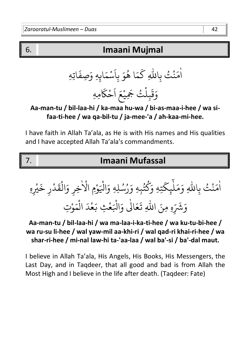#### 6. **Imaani Mujmal**

ٰ ا ِ ِا# - ب تُ ْ ن َ ِ م ب َ و ُ َا ه م َ َ ك ا َ م ْ اس اتِهِ َ ِصف َ ِهِ و ئ َ ع ْ ِي جَ تُ ْ ِل ب َ ق َ و َ ا مِهِ َ ك ْ ح

#### **Aa-man-tu / bil-laa-hi / ka-maa hu-wa / bi-as-maa-i-hee / wa sifaa-ti-hee / wa qa-bil-tu / ja-mee-'a / ah-kaa-mi-hee.**

I have faith in Allah Ta'ala, as He is with His names and His qualities and I have accepted Allah Ta'ala's commandments.

## 7. **Imaani Mufassal**

اْمَنْتُ بِاللَّهِ نْتُ بِال ْ ِرِ م  $\tilde{h}$ ل ِ<br>ِم وَمَلْيِكَتِهِ ر<br>ح يِكَتِهِ وَكُتُبِهِ وَرُسُلِهِ وَالْيَوْمِ و<br>ڊ ر و و<br>د ْ ْ ٰ ْ الاخِرِ وَالقَدْرِ خَيْرِهِ ْ  $\ddot{\cdot}$ ڈرِ خَ<sub>ّ</sub> ْ  $\frac{1}{2}$ ُّخِرِ وَالْقَ ْ ں<br>ب وَشَرِّهِ مِنَ اللَّهِ تَعَالَٰى وَالْبَعْثِ بَعْدَ الْمَوْتِ <u>ّ</u> ْ ْ **ٔ** <u>ّ</u>

#### **Aa-man-tu / bil-laa-hi / wa ma-laa-i-ka-ti-hee / wa ku-tu-bi-hee / wa ru-su li-hee / wal yaw-mil aa-khi-ri / wal qad-ri khai-ri-hee / wa shar-ri-hee / mi-nal law-hi ta-'aa-laa / wal ba'-si / ba'-dal maut.**

I believe in Allah Ta'ala, His Angels, His Books, His Messengers, the Last Day, and in Taqdeer, that all good and bad is from Allah the Most High and I believe in the life after death. (Taqdeer: Fate)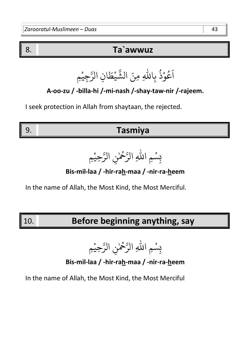#### 8. **Ta`awwuz**

ِ ِا# - ب ُ ذ ْ و ُ ع َ ا ِم ْ ِجي ِ ان الر َ ط ْ ي مِنَ الش

**A-oo-zu / -billa-hi /-mi-nash /-shay-taw-nir /-rajeem.** 

I seek protection in Allah from shaytaan, the rejected.

9. **Tasmiya**

#### ِمِ اللَّٰہِ بْسْمِ اللّٰهِ الرَّحْمٰنِ الرَّحِيْمِ **ٔ** ب ٰ ْ

**Bis-mil-laa / -hir-rah-maa / -nir-ra-heem** 

In the name of Allah, the Most Kind, the Most Merciful.

# 10. **Before beginning anything, say**

ِمِ اللَّٰہِ بْسْمِ اللّٰهِ الرَّحْمٰنِ الرَّحِيْمِ **ٔ** ب ٰ ْ

**Bis-mil-laa / -hir-rah-maa / -nir-ra-heem** 

In the name of Allah, the Most Kind, the Most Merciful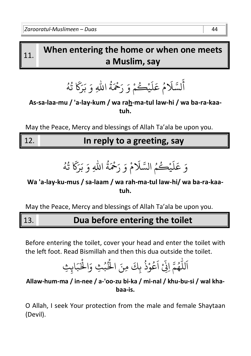# **When entering the home or when one meets a Muslim, say** 11.

#### ر<br>آ L لس َ<br>أَل تَد أَ\ فُر جَ أ مُ عَلَيْكُمْ وَ رَحْمَةُ اللَّهِ و<br>ھ ة اذ ِ<br>چ .<br>يُڪُمْ وَ رَحْمَ <u>ّ</u> َ لَمِيْكُمْ وَ رَحْمَةَ اللَّهِ وَ بَرَكًا تُهُ و<br>لم و<br>ڊ ر<br>م رْكَا ر<br>د ب َ و

#### **As-sa-laa-mu / 'a-lay-kum / wa rah-ma-tul law-hi / wa ba-ra-kaatuh.**

May the Peace, Mercy and blessings of Allah Ta'ala be upon you.

# 12. **In reply to a greeting, say**

ر<br>آ يْكُمُ السَّلَا ر<br>آ ل بر وَ عَلَيْكُمُ السَّلَامْ وَ رَحْمَةُ اللَّهِ ة اذ ِ<br>چ مْ وَ رَحْمَةُ اللّٰهِ وَ بَرَكَا تُهُ **ٔ** و<br>لم وړ ر<br>م رگا ِ ۔<br>و ڊ

#### **Wa 'a-lay-ku-mus / sa-laam / wa rah-ma-tul law-hi/ wa ba-ra-kaatuh.**

May the Peace, Mercy and blessings of Allah Ta'ala be upon you.

# 13. **Dua before entering the toilet**

Before entering the toilet, cover your head and enter the toilet with the left foot. Read Bismillah and then this dua outside the toilet.

#### - لل اَللّٰهُمَّ اِنِّيْ اَعُوْذُ بِكَ مِنَ الْخُبُثِ وَالْخَبَ ا ِ<br>عُوْذُ بِكَ مِنَ الْخُبُثِ وَالْخَ ْ و<br>د ُو<br>و ْ و<br>ڊ ْ و<br>م تن<br>فِيُّ ا هُمَّ اِنِّي اَعُوْذُ بِكَ مِنَ الْخُبُثِ وَالْخَبَابِثِ

#### **Allaw-hum-ma / in-nee / a-'oo-zu bi-ka / mi-nal / khu-bu-si / wal khabaa-is.**

O Allah, I seek Your protection from the male and female Shaytaan (Devil).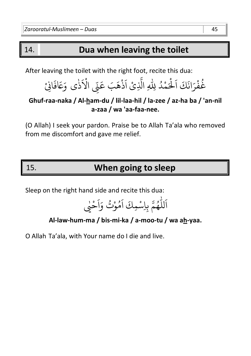# 14. **Dua when leaving the toilet**

After leaving the toilet with the right foot, recite this dua:

ُ د ْ م َ ْ ل َ كَ ا َ َان ر ْ ف ُ غ ِ -ِ# ِن ّ َ ع بَ َ ه ْ ذ َ ِيْ ا ال ا َْ ) ٰ ىذ ِانْ َ ف َ ع َ و

**Ghuf-raa-naka / Al-ham-du / lil-laa-hil / la-zee / az-ha ba / 'an-nil a-zaa / wa 'aa-faa-nee.** 

(O Allah) I seek your pardon. Praise be to Allah Ta'ala who removed from me discomfort and gave me relief.

# 15. **When going to sleep**

Sleep on the right hand side and recite this dua:

-لل َ ا ِ ب م ُ ه اِ ْ و ُ م َ ِمكَ ا ْ س ٰ ي ْ ح َ ا َ و تُ

**Al-law-hum-ma / bis-mi-ka / a-moo-tu / wa ah-yaa.** 

O Allah Ta'ala, with Your name do I die and live.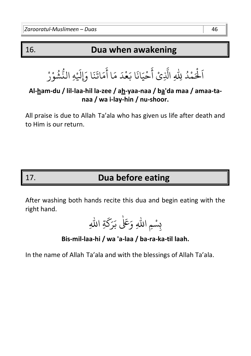## 16. **Dua when awakening**

و<br>ا ُ<br>لَكَمْدُ ْ <u>ہ</u><br>ا َ الْحَمْدُ لِلَّهِ الَّذِيْ احْيَانَا بَعْدَ مَا امَاتَنَا وَإِلَيْهِ النَّشُوْرْ -ْ ْ و نَا وَإِلَيْهِ الذُّ ِ<br>مَاتَ َ َا أ م ِ<br>د ِ<br>حْيَانَا بَعْدَ **ٔ** ْ ِ<br>ع ر<br>لَّذِىٰ أَ الذِ

#### **Al-ham-du / lil-laa-hil la-zee / ah-yaa-naa / ba'da maa / amaa-tanaa / wa i-lay-hin / nu-shoor.**

All praise is due to Allah Ta'ala who has given us life after death and to Him is our return.

# 17. **Dua before eating**

After washing both hands recite this dua and begin eating with the right hand.

<u>مِ</u> اللَّٰہِ بْسْمِ اللهِ وَعَلٰى بَرَكَةِ اللهِ ْ ب ے<br>تمبر اور رىخ ِرِ ب

**Bis-mil-laa-hi / wa 'a-laa / ba-ra-ka-til laah.** 

In the name of Allah Ta'ala and with the blessings of Allah Ta'ala.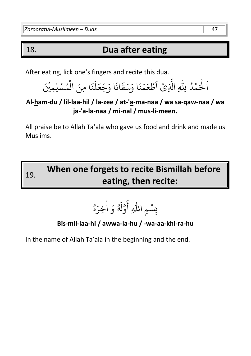# 18. **Dua after eating**

After eating, lick one's fingers and recite this dua.



#### **Al-ham-du / lil-laa-hil / la-zee / at-'a-ma-naa / wa sa-qaw-naa / wa ja-'a-la-naa / mi-nal / mus-li-meen.**

All praise be to Allah Ta'ala who gave us food and drink and made us Muslims.



ِ ِم ا# -ْ ِس ب َ و ُ َ ل و َ ٰ أ ا ُ ه َ ِخر

#### **Bis-mil-laa-hi / awwa-la-hu / -wa-aa-khi-ra-hu**

In the name of Allah Ta'ala in the beginning and the end.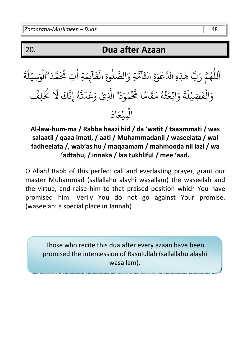#### 20. **Dua after Azaan**

بر<br>لما هٰذِهِ الدَّ ٰ مہ<br>س َللَّهُمَّ رَبَّ و<br>م -َ ا ہ<br>م عُوَةِ التَّاَمَّةِ وَالصَّلٰوةِ ا ر<br>آ وَةِ التَّآمَّةِ وَالصَّلٰوةِ الْقَ ہ<br>آ  $\frac{1}{2}$ ق ِ<br>د تَّكَ ِ<br>هر ُبِمَةِ اٰتِ مُحَ ٰ اَبِمَةِ اٰتِ مُحَمَّدَ ۨالْوَسِيْلَةَ ہ<br>1 <u>ہ</u> بہ<br>ند ة ر<br>آ ل ا وَالْفَضِ ہ<br>1  $\frac{1}{2}$ فَضِيۡلَةَ وَا ؚ<br>ۣ بہ<br>ند ة ر<br>آ لمةً وَابْعَ ؚ<br>;  $\frac{1}{2}$  ع ث ្ قَامًا تَّحَ ِرِ هُ مَقَامًا مُحَمُّوْدَ و<br>ط و<br>م ؚ<br>م ِدَ<sup>ِّ</sup> الَّذِ الَّذِيۡ وَعَ وَعَدُتَّهُ إِنَّكَ لَا تُخُ ہ<br>ا <u>ة</u> ور تَّلَّ لَا و<br>لَمُ إِنَّ 2 تَّهُ إِنَّكَ لَا تُّخَلِفُ المِيُعَادَ ہ<br>1 ؚ<br>ۣ َ َاد ع

**Al-law-hum-ma / Rabba haazi hid / da 'watit / taaammati / was salaatil / qaaa imati, / aati / Muhammadanil / waseelata / wal fadheelata /, wab'as hu / maqaamam / mahmooda nil lazi / wa 'adtahu, / innaka / laa tukhliful / mee 'aad.** 

O Allah! Rabb of this perfect call and everlasting prayer, grant our master Muhammad (sallallahu alayhi wasallam) the waseelah and the virtue, and raise him to that praised position which You have promised him. Verily You do not go against Your promise. (waseelah: a special place in Jannah)

Those who recite this dua after every azaan have been promised the intercession of Rasulullah (sallallahu alayhi wasallam).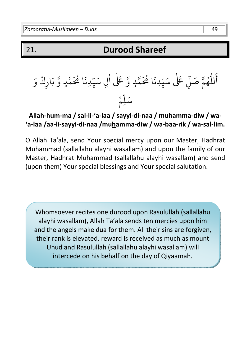## 21. **Durood Shareef**



#### **Allah-hum-ma / sal-li-'a-laa / sayyi-di-naa / muhamma-diw / wa- 'a-laa /aa-li-sayyi-di-naa /muhamma-diw / wa-baa-rik / wa-sal-lim.**

O Allah Ta'ala, send Your special mercy upon our Master, Hadhrat Muhammad (sallallahu alayhi wasallam) and upon the family of our Master, Hadhrat Muhammad (sallallahu alayhi wasallam) and send (upon them) Your special blessings and Your special salutation.

Whomsoever recites one durood upon Rasulullah (sallallahu alayhi wasallam), Allah Ta'ala sends ten mercies upon him and the angels make dua for them. All their sins are forgiven, their rank is elevated, reward is received as much as mount Uhud and Rasulullah (sallallahu alayhi wasallam) will intercede on his behalf on the day of Qiyaamah.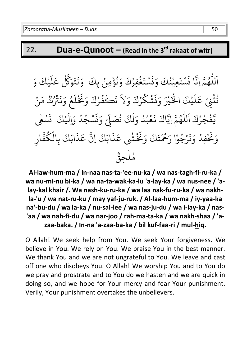#### 22. **Dua-e-Qunoot – (Read in the 3rd rakaat of witr)**

- لل اَللّٰهُمَّ اِنَّا نَسْتَعِيْنُكَ وَنَسْتَغْفِرُكَ وَنُؤْمِنُ بِكَ ۖ وَنَتَوَكَّلُ عَلَيْكَ وَ ا ْ ر<br>آ  $\uplambda$ بر ع په<br>سما ئِگُلُ  $\ddot{\cdot}$ ت  $\ddot{\cdot}$ وَنُؤْمِنُ بِكَ وَذَ ْ و<br>پ ِ<br>د فْوُكَ و<br>, <u>ٔ</u>  $\ddot{\cdot}$ ت س **ٔ** <u>مِ</u>يْنُكَ وَذَ ن و<br>• ْ  $\ddot{\cdot}$ ت س **ٔ** و<br>پُمَ اِنَّا ذَ و<br>م و<br>, نشكرُا ر **ٔ** ە<br>يىر وَذ ن َ كَ ال ي ْ ْ ر<br>آ  $\uplambda$ نُثْنِي عَلَيْكَ الْخَيْرَ وَنَشْكُرُكَ وَلاَ نَكْفُرُكَ وَنَخْلَعُ **ٔ** و<br>ڊ و<br>و َ  $\uplambda$ <u>ة</u>  $\tilde{\cdot}$ ن َ و ِ<br>د .<br>نَكْفُرُكَ و<br>, بو ن  $\tilde{\phantom{0}}$ ) َ و ِ<br>د كَ وَلَا نَكْفُرُكَ وَنَخْلُعُ وَنَتْرُكُ مَنْ ْ ِ<br>م تْزُكْ مَ و<br>و ُ ْ  $\ddot{\cdot}$ ن َ و - لل .<br>فْجُرُكَ اَ و<br>, و<br>د <u>ٔ</u> سه<br>د يت<br>ب ْ ِ<br>ا ُسْجُدُ وَالَيْ و<br>ا و<br>د ْ ِ<br>وَذَ ن .<br>آ .<br>مُبُدُ وَلَكَ نُصَلِّ و<br>ڊ ل و<br>ا و<br>م **ٔ** هُمَّ اِيَّاكَ نَعْبُدُ وَلَكَ نُصَلِّيْ وَنَسْجُدُ وَاِلَيْكَ ۖ نَسْعٰى و<br>م ٰ ْ َ كَ ن ش بره<br>مزيد تَكَ وَنَخْ ت ِ<br>چ ُرْجُوْا رَحْمَ ر ْ  $\ddot{\cdot}$ فِدُ وَذَ و<br>ا <u>ّ</u>  $\tilde{\cdot}$ وَنَخْفِدُ وَنَرْجُوْا رَحْمَتَكَ وَنَخْشٰى عَذَابَكَ ً<br>م عَذَابَكَ اِنَّ عَذَابَكَ بِالْكُفَّارِ ر ْ ِ<br>م ع بر<br>پ اِن ِ<br>په مُلْحِقٌ ْ و<br>م

**Al-law-hum-ma / in-naa nas-ta-'ee-nu-ka / wa nas-tagh-fi-ru-ka / wa nu-mi-nu bi-ka / wa na-ta-wak-ka-lu 'a-lay-ka / wa nus-nee / 'alay-kal khair /. Wa nash-ku-ru-ka / wa laa nak-fu-ru-ka / wa nakhla-'u / wa nat-ru-ku / may yaf-ju-ruk. / Al-laa-hum-ma / iy-yaa-ka na'-bu-du / wa la-ka / nu-sal-lee / wa nas-ju-du / wa i-lay-ka / nas- 'aa / wa nah-fi-du / wa nar-joo / rah-ma-ta-ka / wa nakh-shaa / 'azaa-baka. / In-na 'a-zaa-ba-ka / bil kuf-faa-ri / mul-hiq.** 

O Allah! We seek help from You. We seek Your forgiveness. We believe in You. We rely on You. We praise You in the best manner. We thank You and we are not ungrateful to You. We leave and cast off one who disobeys You. O Allah! We worship You and to You do we pray and prostrate and to You do we hasten and we are quick in doing so, and we hope for Your mercy and fear Your punishment. Verily, Your punishment overtakes the unbelievers.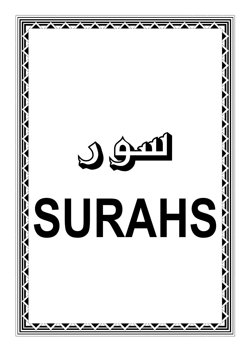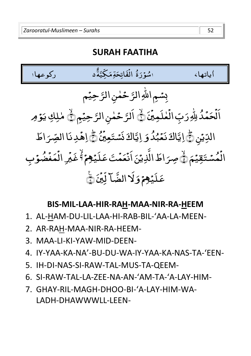#### **SURAH FAATIHA**



- 1. AL-HAM-DU-LIL-LAA-HI-RAB-BIL-'AA-LA-MEEN-
- 2. AR-RAH-MAA-NIR-RA-HEEM-
- 3. MAA-LI-KI-YAW-MID-DEEN-
- 4. IY-YAA-KA-NA'-BU-DU-WA-IY-YAA-KA-NAS-TA-'EEN-
- 5. IH-DI-NAS-SI-RAW-TAL-MUS-TA-QEEM-
- 6. SI-RAW-TAL-LA-ZEE-NA-AN-'AM-TA-'A-LAY-HIM-
- 7. GHAY-RIL-MAGH-DHOO-BI-'A-LAY-HIM-WA-LADH-DHAWWWLL-LEEN-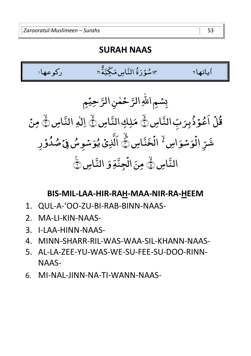#### **SURAH NAAS**

۱۳ سُوَرَةَ النَّاسِ مَكِيَّة n تَّة المَّاسِ مِنْ الْعَلَيْة الْمَسْتَقْدَة الْمَسْتَقْ ٌ اياتها۲ مستورَةُ النَّاسِ مَكِّيَّةُ ٣ اياتها٢

بِسُمِ الَلّوِ الَرَّ حُمٰنِ الَرَّ حِيُمِ  
قُلَ اَعُوَ دُبِرَبِّ النَّاسِ یٍُ مَلِكِ النَّاسِ یُّےِ الِّلِوِ الَنَّاسِ یٍُّ مِنُ
$$
\frac{2}{3}
$$
سَوِ مُلُ وُرَرِ
$$
\frac{2}{3}
$$
سَوِ مُلُ وُرِ

- 1. QUL-A-'OO-ZU-BI-RAB-BINN-NAAS-
- 2. MA-LI-KIN-NAAS-
- 3. I-LAA-HINN-NAAS-
- 4. MINN-SHARR-RIL-WAS-WAA-SIL-KHANN-NAAS-
- 5. AL-LA-ZEE-YU-WAS-WE-SU-FEE-SU-DOO-RINN-NAAS-
- 6. MI-NAL-JINN-NA-TI-WANN-NAAS-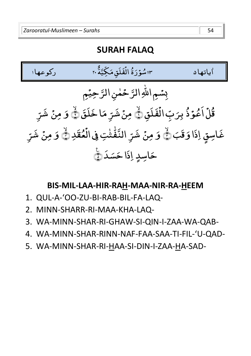#### **SURAH FALAQ**



- 1. QUL-A-'OO-ZU-BI-RAB-BIL-FA-LAQ-
- 2. MINN-SHARR-RI-MAA-KHA-LAQ-
- 3. WA-MINN-SHAR-RI-GHAW-SI-QIN-I-ZAA-WA-QAB-
- 4. WA-MINN-SHAR-RINN-NAF-FAA-SAA-TI-FIL-'U-QAD-
- 5. WA-MINN-SHAR-RI-HAA-SI-DIN-I-ZAA-HA-SAD-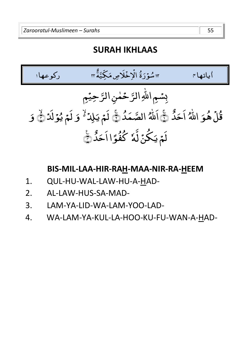#### **SURAH IKHLAAS**



- 1. QUL-HU-WAL-LAW-HU-A-HAD-
- 2. AL-LAW-HUS-SA-MAD-
- 3. LAM-YA-LID-WA-LAM-YOO-LAD-
- 4. WA-LAM-YA-KUL-LA-HOO-KU-FU-WAN-A-HAD-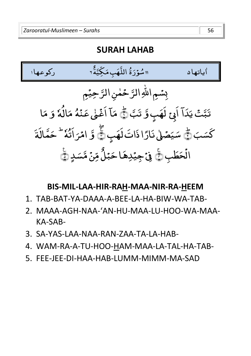#### **SURAH LAHAB**



- 1. TAB-BAT-YA-DAAA-A-BEE-LA-HA-BIW-WA-TAB-
- 2. MAAA-AGH-NAA-'AN-HU-MAA-LU-HOO-WA-MAA-KA-SAB-
- 3. SA-YAS-LAA-NAA-RAN-ZAA-TA-LA-HAB-
- 4. WAM-RA-A-TU-HOO-HAM-MAA-LA-TAL-HA-TAB-
- 5. FEE-JEE-DI-HAA-HAB-LUMM-MIMM-MA-SAD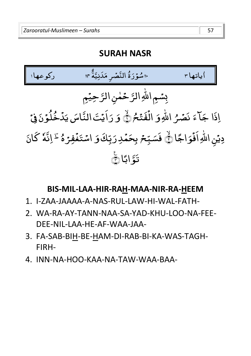#### **SURAH NASR**



- 1. I-ZAA-JAAAA-A-NAS-RUL-LAW-HI-WAL-FATH-
- 2. WA-RA-AY-TANN-NAA-SA-YAD-KHU-LOO-NA-FEE-DEE-NIL-LAA-HE-AF-WAA-JAA-
- 3. FA-SAB-BIH-BE-HAM-DI-RAB-BI-KA-WAS-TAGH-FIRH-
- 4. INN-NA-HOO-KAA-NA-TAW-WAA-BAA-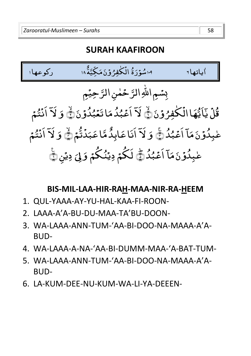#### **SURAH KAAFIROON**



- 1. QUL-YAAA-AY-YU-HAL-KAA-FI-ROON-
- 2. LAAA-A'A-BU-DU-MAA-TA'BU-DOON-
- 3. WA-LAAA-ANN-TUM-'AA-BI-DOO-NA-MAAA-A'A-BUD-
- 4. WA-LAAA-A-NA-'AA-BI-DUMM-MAA-'A-BAT-TUM-
- 5. WA-LAAA-ANN-TUM-'AA-BI-DOO-NA-MAAA-A'A-BUD-
- 6. LA-KUM-DEE-NU-KUM-WA-LI-YA-DEEEN-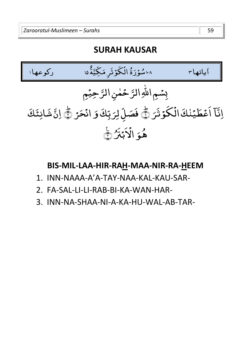#### **SURAH KAUSAR**



- 1. INN-NAAA-A'A-TAY-NAA-KAL-KAU-SAR-
- 2. FA-SAL-LI-LI-RAB-BI-KA-WAN-HAR-
- 3. INN-NA-SHAA-NI-A-KA-HU-WAL-AB-TAR-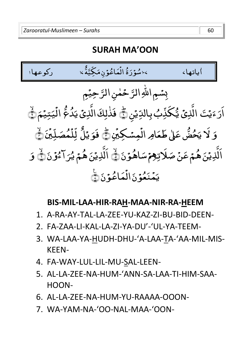#### **SURAH MA'OON**



- 1. A-RA-AY-TAL-LA-ZEE-YU-KAZ-ZI-BU-BID-DEEN-
- 2. FA-ZAA-LI-KAL-LA-ZI-YA-DU'-'UL-YA-TEEM-
- 3. WA-LAA-YA-HUDH-DHU-'A-LAA-TA-'AA-MIL-MIS-KEEN-
- 4. FA-WAY-LUL-LIL-MU-SAL-LEEN-
- 5. AL-LA-ZEE-NA-HUM-'ANN-SA-LAA-TI-HIM-SAA-HOON-
- 6. AL-LA-ZEE-NA-HUM-YU-RAAAA-OOON-
- 7. WA-YAM-NA-'OO-NAL-MAA-'OON-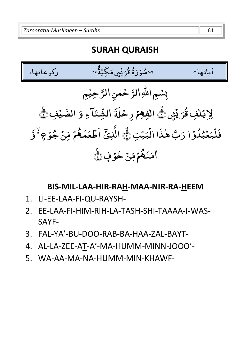#### **SURAH QURAISH**



- 1. LI-EE-LAA-FI-QU-RAYSH-
- 2. EE-LAA-FI-HIM-RIH-LA-TASH-SHI-TAAAA-I-WAS-SAYF-
- 3. FAL-YA'-BU-DOO-RAB-BA-HAA-ZAL-BAYT-
- 4. AL-LA-ZEE-AT-A'-MA-HUMM-MINN-JOOO'-
- 5. WA-AA-MA-NA-HUMM-MIN-KHAWF-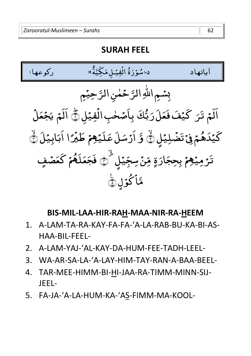#### **SURAH FEEL**



- 1. A-LAM-TA-RA-KAY-FA-FA-'A-LA-RAB-BU-KA-BI-AS-HAA-BIL-FEEL-
- 2. A-LAM-YAJ-'AL-KAY-DA-HUM-FEE-TADH-LEEL-
- 3. WA-AR-SA-LA-'A-LAY-HIM-TAY-RAN-A-BAA-BEEL-
- 4. TAR-MEE-HIMM-BI-HI-JAA-RA-TIMM-MINN-SIJ-JEEL-
- 5. FA-JA-'A-LA-HUM-KA-'AS-FIMM-MA-KOOL-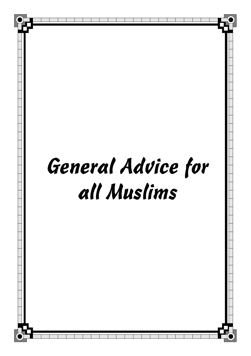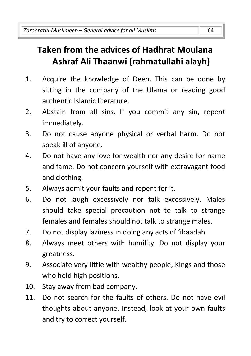# **Taken from the advices of Hadhrat Moulana Ashraf Ali Thaanwi (rahmatullahi alayh)**

- 1. Acquire the knowledge of Deen. This can be done by sitting in the company of the Ulama or reading good authentic Islamic literature.
- 2. Abstain from all sins. If you commit any sin, repent immediately.
- 3. Do not cause anyone physical or verbal harm. Do not speak ill of anyone.
- 4. Do not have any love for wealth nor any desire for name and fame. Do not concern yourself with extravagant food and clothing.
- 5. Always admit your faults and repent for it.
- 6. Do not laugh excessively nor talk excessively. Males should take special precaution not to talk to strange females and females should not talk to strange males.
- 7. Do not display laziness in doing any acts of 'ibaadah.
- 8. Always meet others with humility. Do not display your greatness.
- 9. Associate very little with wealthy people, Kings and those who hold high positions.
- 10. Stay away from bad company.
- 11. Do not search for the faults of others. Do not have evil thoughts about anyone. Instead, look at your own faults and try to correct yourself.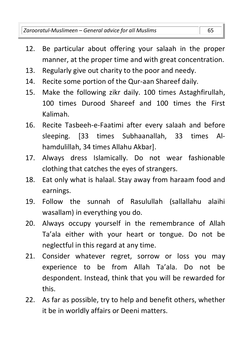- 12. Be particular about offering your salaah in the proper manner, at the proper time and with great concentration.
- 13. Regularly give out charity to the poor and needy.
- 14. Recite some portion of the Qur-aan Shareef daily.
- 15. Make the following zikr daily. 100 times Astaghfirullah, 100 times Durood Shareef and 100 times the First Kalimah.
- 16. Recite Tasbeeh-e-Faatimi after every salaah and before sleeping. [33 times Subhaanallah, 33 times Alhamdulillah, 34 times Allahu Akbar].
- 17. Always dress Islamically. Do not wear fashionable clothing that catches the eyes of strangers.
- 18. Eat only what is halaal. Stay away from haraam food and earnings.
- 19. Follow the sunnah of Rasulullah (sallallahu alaihi wasallam) in everything you do.
- 20. Always occupy yourself in the remembrance of Allah Ta'ala either with your heart or tongue. Do not be neglectful in this regard at any time.
- 21. Consider whatever regret, sorrow or loss you may experience to be from Allah Ta'ala. Do not be despondent. Instead, think that you will be rewarded for this.
- 22. As far as possible, try to help and benefit others, whether it be in worldly affairs or Deeni matters.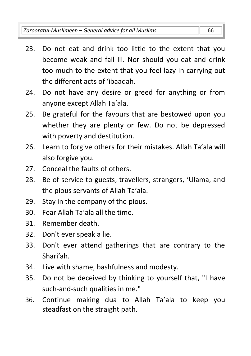*Zarooratul-Muslimeen – General advice for all Muslims* 66

- 23. Do not eat and drink too little to the extent that you become weak and fall ill. Nor should you eat and drink too much to the extent that you feel lazy in carrying out the different acts of 'ibaadah.
- 24. Do not have any desire or greed for anything or from anyone except Allah Ta'ala.
- 25. Be grateful for the favours that are bestowed upon you whether they are plenty or few. Do not be depressed with poverty and destitution.
- 26. Learn to forgive others for their mistakes. Allah Ta'ala will also forgive you.
- 27. Conceal the faults of others.
- 28. Be of service to guests, travellers, strangers, 'Ulama, and the pious servants of Allah Ta'ala.
- 29. Stay in the company of the pious.
- 30. Fear Allah Ta'ala all the time.
- 31. Remember death.
- 32. Don't ever speak a lie.
- 33. Don't ever attend gatherings that are contrary to the Shari'ah.
- 34. Live with shame, bashfulness and modesty.
- 35. Do not be deceived by thinking to yourself that, "I have such-and-such qualities in me."
- 36. Continue making dua to Allah Ta'ala to keep you steadfast on the straight path.